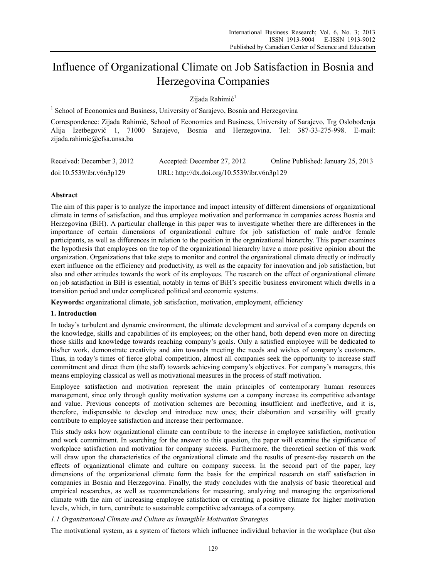# Influence of Organizational Climate on Job Satisfaction in Bosnia and Herzegovina Companies

Zijada Rahimić<sup>1</sup>

<sup>1</sup> School of Economics and Business, University of Sarajevo, Bosnia and Herzegovina

Correspondence: Zijada Rahimić, School of Economics and Business, University of Sarajevo, Trg Oslobođenja Alija Izetbegović 1, 71000 Sarajevo, Bosnia and Herzegovina. Tel: 387-33-275-998. E-mail: zijada.rahimic@efsa.unsa.ba

| Received: December 3, 2012 | Accepted: December 27, 2012                 | Online Published: January 25, 2013 |
|----------------------------|---------------------------------------------|------------------------------------|
| doi:10.5539/ibr.v6n3p129   | URL: http://dx.doi.org/10.5539/ibr.v6n3p129 |                                    |

## **Abstract**

The aim of this paper is to analyze the importance and impact intensity of different dimensions of organizational climate in terms of satisfaction, and thus employee motivation and performance in companies across Bosnia and Herzegovina (BiH). A particular challenge in this paper was to investigate whether there are differences in the importance of certain dimensions of organizational culture for job satisfaction of male and/or female participants, as well as differences in relation to the position in the organizational hierarchy. This paper examines the hypothesis that employees on the top of the organizational hierarchy have a more positive opinion about the organization. Organizations that take steps to monitor and control the organizational climate directly or indirectly exert influence on the efficiency and productivity, as well as the capacity for innovation and job satisfaction, but also and other attitudes towards the work of its employees. The research on the effect of organizational climate on job satisfaction in BiH is essential, notably in terms of BiH's specific business enviroment which dwells in a transition period and under complicated political and economic systems.

**Keywords:** organizational climate, job satisfaction, motivation, employment, efficiency

#### **1. Introduction**

In today's turbulent and dynamic environment, the ultimate development and survival of a company depends on the knowledge, skills and capabilities of its employees; on the other hand, both depend even more on directing those skills and knowledge towards reaching company's goals. Only a satisfied employee will be dedicated to his/her work, demonstrate creativity and aim towards meeting the needs and wishes of company's customers. Thus, in today's times of fierce global competition, almost all companies seek the opportunity to increase staff commitment and direct them (the staff) towards achieving company's objectives. For company's managers, this means employing classical as well as motivational measures in the process of staff motivation.

Employee satisfaction and motivation represent the main principles of contemporary human resources management, since only through quality motivation systems can a company increase its competitive advantage and value. Previous concepts of motivation schemes are becoming insufficient and ineffective, and it is, therefore, indispensable to develop and introduce new ones; their elaboration and versatility will greatly contribute to employee satisfaction and increase their performance.

This study asks how organizational climate can contribute to the increase in employee satisfaction, motivation and work commitment. In searching for the answer to this question, the paper will examine the significance of workplace satisfaction and motivation for company success. Furthermore, the theoretical section of this work will draw upon the characteristics of the organizational climate and the results of present-day research on the effects of organizational climate and culture on company success. In the second part of the paper, key dimensions of the organizational climate form the basis for the empirical research on staff satisfaction in companies in Bosnia and Herzegovina. Finally, the study concludes with the analysis of basic theoretical and empirical researches, as well as recommendations for measuring, analyzing and managing the organizational climate with the aim of increasing employee satisfaction or creating a positive climate for higher motivation levels, which, in turn, contribute to sustainable competitive advantages of a company.

*1.1 Organizational Climate and Culture as Intangible Motivation Strategies* 

The motivational system, as a system of factors which influence individual behavior in the workplace (but also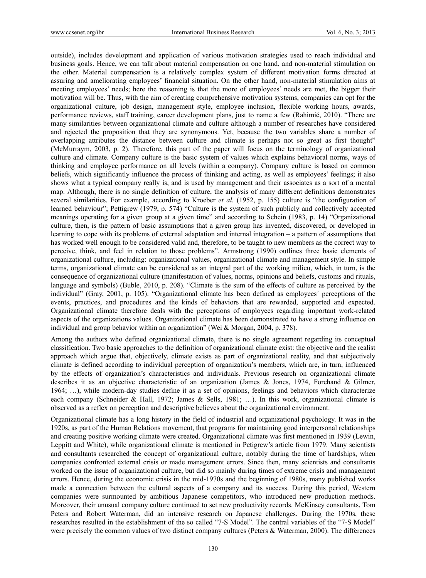outside), includes development and application of various motivation strategies used to reach individual and business goals. Hence, we can talk about material compensation on one hand, and non-material stimulation on the other. Material compensation is a relatively complex system of different motivation forms directed at assuring and ameliorating employees' financial situation. On the other hand, non-material stimulation aims at meeting employees' needs; here the reasoning is that the more of employees' needs are met, the bigger their motivation will be. Thus, with the aim of creating comprehensive motivation systems, companies can opt for the organizational culture, job design, management style, employee inclusion, flexible working hours, awards, performance reviews, staff training, career development plans, just to name a few (Rahimić, 2010). "There are many similarities between organizational climate and culture although a number of researches have considered and rejected the proposition that they are synonymous. Yet, because the two variables share a number of overlapping attributes the distance between culture and climate is perhaps not so great as first thought" (McMurraym, 2003, p. 2). Therefore, this part of the paper will focus on the terminology of organizational culture and climate. Company culture is the basic system of values which explains behavioral norms, ways of thinking and employee performance on all levels (within a company). Company culture is based on common beliefs, which significantly influence the process of thinking and acting, as well as employees' feelings; it also shows what a typical company really is, and is used by management and their associates as a sort of a mental map. Although, there is no single definition of culture, the analysis of many different definitions demonstrates several similarities. For example, according to Kroeber *et al.* (1952, p. 155) culture is "the configuration of learned behaviour"; Pettigrew (1979, p. 574) "Culture is the system of such publicly and collectively accepted meanings operating for a given group at a given time" and according to Schein (1983, p. 14) "Organizational culture, then, is the pattern of basic assumptions that a given group has invented, discovered, or developed in learning to cope with its problems of external adaptation and internal integration – a pattern of assumptions that has worked well enough to be considered valid and, therefore, to be taught to new members as the correct way to perceive, think, and feel in relation to those problems". Armstrong (1990) outlines three basic elements of organizational culture, including: organizational values, organizational climate and management style. In simple terms, organizational climate can be considered as an integral part of the working milieu, which, in turn, is the consequence of organizational culture (manifestation of values, norms, opinions and beliefs, customs and rituals, language and symbols) (Buble, 2010, p. 208). "Climate is the sum of the effects of culture as perceived by the individual" (Gray, 2001, p. 105). "Organizational climate has been defined as employees´ perceptions of the events, practices, and procedures and the kinds of behaviors that are rewarded, supported and expected. Organizational climate therefore deals with the perceptions of employees regarding important work-related aspects of the organizations values. Organizational climate has been demonstrated to have a strong influence on individual and group behavior within an organization" (Wei & Morgan, 2004, p. 378).

Among the authors who defined organizational climate, there is no single agreement regarding its conceptual classification. Two basic approaches to the definition of organizational climate exist: the objective and the realist approach which argue that, objectively, climate exists as part of organizational reality, and that subjectively climate is defined according to individual perception of organization's members, which are, in turn, influenced by the effects of organization's characteristics and individuals. Previous research on organizational climate describes it as an objective characteristic of an organization (James & Jones, 1974, Forehand & Gilmer, 1964; …), while modern-day studies define it as a set of opinions, feelings and behaviors which characterize each company (Schneider & Hall, 1972; James & Sells, 1981; …). In this work, organizational climate is observed as a reflex on perception and descriptive believes about the organizational environment.

Organizational climate has a long history in the field of industrial and organizational psychology. It was in the 1920s, as part of the Human Relations movement, that programs for maintaining good interpersonal relationships and creating positive working climate were created. Organizational climate was first mentioned in 1939 (Lewin, Leppitt and White), while organizational climate is mentioned in Petigrew's article from 1979. Many scientists and consultants researched the concept of organizational culture, notably during the time of hardships, when companies confronted external crisis or made management errors. Since then, many scientists and consultants worked on the issue of organizational culture, but did so mainly during times of extreme crisis and management errors. Hence, during the economic crisis in the mid-1970s and the beginning of 1980s, many published works made a connection between the cultural aspects of a company and its success. During this period, Western companies were surmounted by ambitious Japanese competitors, who introduced new production methods. Moreover, their unusual company culture continued to set new productivity records. McKinsey consultants, Tom Peters and Robert Waterman, did an intensive research on Japanese challenges. During the 1970s, these researches resulted in the establishment of the so called "7-S Model". The central variables of the "7-S Model" were precisely the common values of two distinct company cultures (Peters & Waterman, 2000). The differences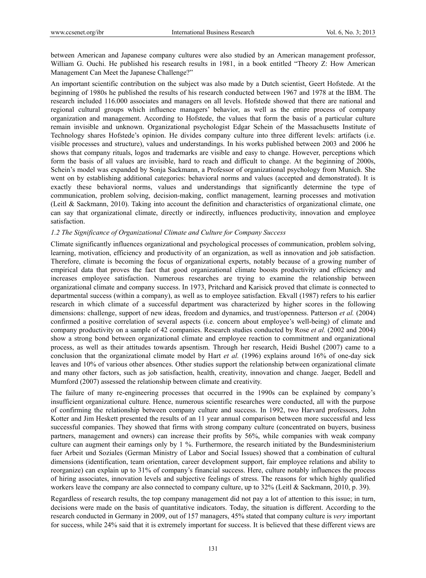between American and Japanese company cultures were also studied by an American management professor, William G. Ouchi. He published his research results in 1981, in a book entitled "Theory Z: How American Management Can Meet the Japanese Challenge?"

An important scientific contribution on the subject was also made by a Dutch scientist, Geert Hofstede. At the beginning of 1980s he published the results of his research conducted between 1967 and 1978 at the IBM. The research included 116.000 associates and managers on all levels. Hofstede showed that there are national and regional cultural groups which influence managers' behavior, as well as the entire process of company organization and management. According to Hofstede, the values that form the basis of a particular culture remain invisible and unknown. Organizational psychologist Edgar Schein of the Massachusetts Institute of Technology shares Hofstede's opinion. He divides company culture into three different levels: artifacts (i.e. visible processes and structure), values and understandings. In his works published between 2003 and 2006 he shows that company rituals, logos and trademarks are visible and easy to change. However, perceptions which form the basis of all values are invisible, hard to reach and difficult to change. At the beginning of 2000s, Schein's model was expanded by Sonja Sackmann, a Professor of organizational psychology from Munich. She went on by establishing additional categories: behavioral norms and values (accepted and demonstrated). It is exactly these behavioral norms, values and understandings that significantly determine the type of communication, problem solving, decision-making, conflict management, learning processes and motivation (Leitl & Sackmann, 2010). Taking into account the definition and characteristics of organizational climate, one can say that organizational climate, directly or indirectly, influences productivity, innovation and employee satisfaction.

#### *1.2 The Significance of Organizational Climate and Culture for Company Success*

Climate significantly influences organizational and psychological processes of communication, problem solving, learning, motivation, efficiency and productivity of an organization, as well as innovation and job satisfaction. Therefore, climate is becoming the focus of organizational experts, notably because of a growing number of empirical data that proves the fact that good organizational climate boosts productivity and efficiency and increases employee satisfaction. Numerous researches are trying to examine the relationship between organizational climate and company success. In 1973, Pritchard and Karisick proved that climate is connected to departmental success (within a company), as well as to employee satisfaction. Ekvall (1987) refers to his earlier research in which climate of a successful department was characterized by higher scores in the following dimensions: challenge, support of new ideas, freedom and dynamics, and trust/openness. Patterson *et al.* (2004) confirmed a positive correlation of several aspects (i.e. concern about employee's well-being) of climate and company productivity on a sample of 42 companies. Research studies conducted by Rose *et al.* (2002 and 2004) show a strong bond between organizational climate and employee reaction to commitment and organizational process, as well as their attitudes towards apsentism. Through her research, Heidi Bushel (2007) came to a conclusion that the organizational climate model by Hart *et al.* (1996) explains around 16% of one-day sick leaves and 10% of various other absences. Other studies support the relationship between organizational climate and many other factors, such as job satisfaction, health, creativity, innovation and change. Jaeger, Bedell and Mumford (2007) assessed the relationship between climate and creativity.

The failure of many re-engineering processes that occurred in the 1990s can be explained by company's insufficient organizational culture. Hence, numerous scientific researches were conducted, all with the purpose of confirming the relationship between company culture and success. In 1992, two Harvard professors, John Kotter and Jim Heskett presented the results of an 11 year annual comparison between more successful and less successful companies. They showed that firms with strong company culture (concentrated on buyers, business partners, management and owners) can increase their profits by 56%, while companies with weak company culture can augment their earnings only by 1 %. Furthermore, the research initiated by the Bundesministerium fuer Arbeit und Soziales (German Ministry of Labor and Social Issues) showed that a combination of cultural dimensions (identification, team orientation, career development support, fair employee relations and ability to reorganize) can explain up to 31% of company's financial success. Here, culture notably influences the process of hiring associates, innovation levels and subjective feelings of stress. The reasons for which highly qualified workers leave the company are also connected to company culture, up to 32% (Leitl & Sackmann, 2010, p. 39).

Regardless of research results, the top company management did not pay a lot of attention to this issue; in turn, decisions were made on the basis of quantitative indicators. Today, the situation is different. According to the research conducted in Germany in 2009, out of 157 managers, 45% stated that company culture is *very* important for success, while 24% said that it is extremely important for success. It is believed that these different views are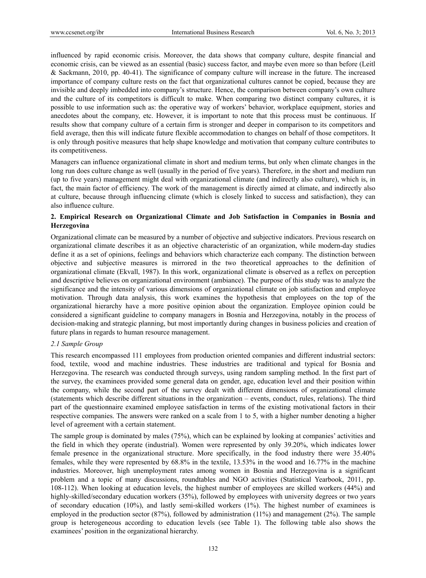influenced by rapid economic crisis. Moreover, the data shows that company culture, despite financial and economic crisis, can be viewed as an essential (basic) success factor, and maybe even more so than before (Leitl & Sackmann, 2010, pp. 40-41). The significance of company culture will increase in the future. The increased importance of company culture rests on the fact that organizational cultures cannot be copied, because they are invisible and deeply imbedded into company's structure. Hence, the comparison between company's own culture and the culture of its competitors is difficult to make. When comparing two distinct company cultures, it is possible to use information such as: the operative way of workers' behavior, workplace equipment, stories and anecdotes about the company, etc. However, it is important to note that this process must be continuous. If results show that company culture of a certain firm is stronger and deeper in comparison to its competitors and field average, then this will indicate future flexible accommodation to changes on behalf of those competitors. It is only through positive measures that help shape knowledge and motivation that company culture contributes to its competitiveness.

Managers can influence organizational climate in short and medium terms, but only when climate changes in the long run does culture change as well (usually in the period of five years). Therefore, in the short and medium run (up to five years) management might deal with organizational climate (and indirectly also culture), which is, in fact, the main factor of efficiency. The work of the management is directly aimed at climate, and indirectly also at culture, because through influencing climate (which is closely linked to success and satisfaction), they can also influence culture.

### **2. Empirical Research on Organizational Climate and Job Satisfaction in Companies in Bosnia and Herzegovina**

Organizational climate can be measured by a number of objective and subjective indicators. Previous research on organizational climate describes it as an objective characteristic of an organization, while modern-day studies define it as a set of opinions, feelings and behaviors which characterize each company. The distinction between objective and subjective measures is mirrored in the two theoretical approaches to the definition of organizational climate (Ekvall, 1987). In this work, organizational climate is observed as a reflex on perception and descriptive believes on organizational environment (ambiance). The purpose of this study was to analyze the significance and the intensity of various dimensions of organizational climate on job satisfaction and employee motivation. Through data analysis, this work examines the hypothesis that employees on the top of the organizational hierarchy have a more positive opinion about the organization. Employee opinion could be considered a significant guideline to company managers in Bosnia and Herzegovina, notably in the process of decision-making and strategic planning, but most importantly during changes in business policies and creation of future plans in regards to human resource management.

#### *2.1 Sample Group*

This research encompassed 111 employees from production oriented companies and different industrial sectors: food, textile, wood and machine industries. These industries are traditional and typical for Bosnia and Herzegovina. The research was conducted through surveys, using random sampling method. In the first part of the survey, the examinees provided some general data on gender, age, education level and their position within the company, while the second part of the survey dealt with different dimensions of organizational climate (statements which describe different situations in the organization – events, conduct, rules, relations). The third part of the questionnaire examined employee satisfaction in terms of the existing motivational factors in their respective companies. The answers were ranked on a scale from 1 to 5, with a higher number denoting a higher level of agreement with a certain statement.

The sample group is dominated by males (75%), which can be explained by looking at companies' activities and the field in which they operate (industrial). Women were represented by only 39.20%, which indicates lower female presence in the organizational structure. More specifically, in the food industry there were 35.40% females, while they were represented by 68.8% in the textile, 13.53% in the wood and 16.77% in the machine industries. Moreover, high unemployment rates among women in Bosnia and Herzegovina is a significant problem and a topic of many discussions, roundtables and NGO activities (Statistical Yearbook, 2011, pp. 108-112). When looking at education levels, the highest number of employees are skilled workers (44%) and highly-skilled/secondary education workers (35%), followed by employees with university degrees or two years of secondary education (10%), and lastly semi-skilled workers (1%). The highest number of examinees is employed in the production sector (87%), followed by administration (11%) and management (2%). The sample group is heterogeneous according to education levels (see Table 1). The following table also shows the examinees' position in the organizational hierarchy.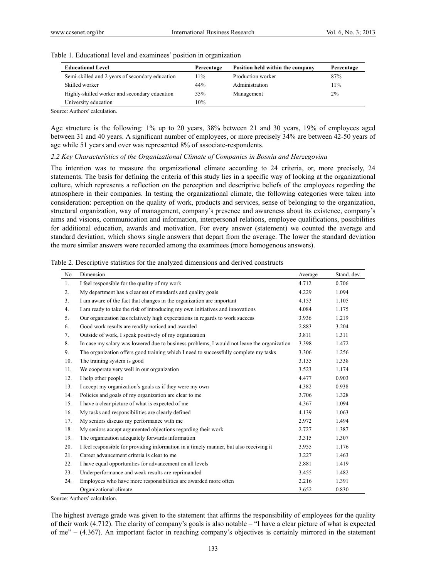| <b>Educational Level</b>                        | Percentage | Position held within the company | Percentage |
|-------------------------------------------------|------------|----------------------------------|------------|
| Semi-skilled and 2 years of secondary education | 11%        | Production worker                | 87%        |
| Skilled worker                                  | 44%        | Administration                   | 11%        |
| Highly-skilled worker and secondary education   | 35%        | Management                       | $2\%$      |
| University education                            | 10%        |                                  |            |

Table 1. Educational level and examinees' position in organization

Source: Authors' calculation.

Age structure is the following: 1% up to 20 years, 38% between 21 and 30 years, 19% of employees aged between 31 and 40 years. A significant number of employees, or more precisely 34% are between 42-50 years of age while 51 years and over was represented 8% of associate-respondents.

#### *2.2 Key Characteristics of the Organizational Climate of Companies in Bosnia and Herzegovina*

The intention was to measure the organizational climate according to 24 criteria, or, more precisely, 24 statements. The basis for defining the criteria of this study lies in a specific way of looking at the organizational culture, which represents a reflection on the perception and descriptive beliefs of the employees regarding the atmosphere in their companies. In testing the organizational climate, the following categories were taken into consideration: perception on the quality of work, products and services, sense of belonging to the organization, structural organization, way of management, company's presence and awareness about its existence, company's aims and visions, communication and information, interpersonal relations, employee qualifications, possibilities for additional education, awards and motivation. For every answer (statement) we counted the average and standard deviation, which shows single answers that depart from the average. The lower the standard deviation the more similar answers were recorded among the examinees (more homogenous answers).

| No  | Dimension                                                                                  | Average | Stand. dev. |
|-----|--------------------------------------------------------------------------------------------|---------|-------------|
| 1.  | I feel responsible for the quality of my work                                              | 4.712   | 0.706       |
| 2.  | My department has a clear set of standards and quality goals                               | 4.229   | 1.094       |
| 3.  | I am aware of the fact that changes in the organization are important                      | 4.153   | 1.105       |
| 4.  | I am ready to take the risk of introducing my own initiatives and innovations              | 4.084   | 1.175       |
| 5.  | Our organization has relatively high expectations in regards to work success               | 3.936   | 1.219       |
| 6.  | Good work results are readily noticed and awarded                                          | 2.883   | 3.204       |
| 7.  | Outside of work, I speak positively of my organization                                     | 3.811   | 1.311       |
| 8.  | In case my salary was lowered due to business problems, I would not leave the organization | 3.398   | 1.472       |
| 9.  | The organization offers good training which I need to successfully complete my tasks       | 3.306   | 1.256       |
| 10. | The training system is good                                                                | 3.135   | 1.338       |
| 11. | We cooperate very well in our organization                                                 | 3.523   | 1.174       |
| 12. | I help other people                                                                        | 4.477   | 0.903       |
| 13. | I accept my organization's goals as if they were my own                                    | 4.382   | 0.938       |
| 14. | Policies and goals of my organization are clear to me                                      | 3.706   | 1.328       |
| 15. | I have a clear picture of what is expected of me                                           | 4.367   | 1.094       |
| 16. | My tasks and responsibilities are clearly defined                                          | 4.139   | 1.063       |
| 17. | My seniors discuss my performance with me                                                  | 2.972   | 1.494       |
| 18. | My seniors accept argumented objections regarding their work                               | 2.727   | 1.387       |
| 19. | The organization adequately forwards information                                           | 3.315   | 1.307       |
| 20. | I feel responsible for providing information in a timely manner, but also receiving it     | 3.955   | 1.176       |
| 21. | Career advancement criteria is clear to me                                                 | 3.227   | 1.463       |
| 22. | I have equal opportunities for advancement on all levels                                   | 2.881   | 1.419       |
| 23. | Underperformance and weak results are reprimanded                                          | 3.455   | 1.482       |
| 24. | Employees who have more responsibilities are awarded more often                            | 2.216   | 1.391       |
|     | Organizational climate                                                                     | 3.652   | 0.830       |

Table 2. Descriptive statistics for the analyzed dimensions and derived constructs

Source: Authors' calculation.

The highest average grade was given to the statement that affirms the responsibility of employees for the quality of their work (4.712). The clarity of company's goals is also notable – "I have a clear picture of what is expected of me" – (4.367). An important factor in reaching company's objectives is certainly mirrored in the statement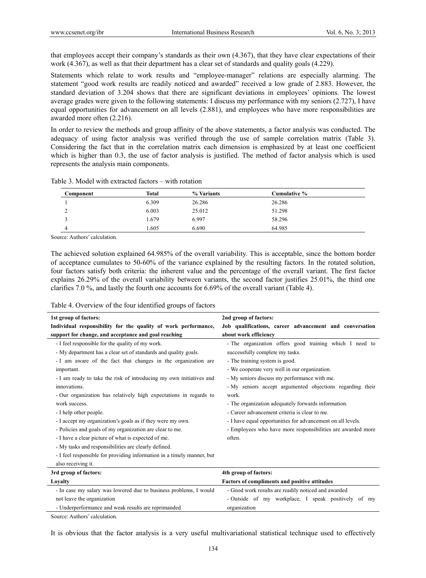that employees accept their company's standards as their own (4.367), that they have clear expectations of their work (4.367), as well as that their department has a clear set of standards and quality goals (4.229).

Statements which relate to work results and "employee-manager" relations are especially alarming. The statement "good work results are readily noticed and awarded" received a low grade of 2.883. However, the standard deviation of 3.204 shows that there are significant deviations in employees' opinions. The lowest average grades were given to the following statements: I discuss my performance with my seniors (2.727), I have equal opportunities for advancement on all levels (2.881), and employees who have more responsibilities are awarded more often (2.216).

In order to review the methods and group affinity of the above statements, a factor analysis was conducted. The adequacy of using factor analysis was verified through the use of sample correlation matrix (Table 3). Considering the fact that in the correlation matrix each dimension is emphasized by at least one coefficient which is higher than 0.3, the use of factor analysis is justified. The method of factor analysis which is used represents the analysis main components.

| Component | Total | % Variants | Cumulative % |  |
|-----------|-------|------------|--------------|--|
|           | 6.309 | 26.286     | 26.286       |  |
|           | 6.003 | 25.012     | 51.298       |  |
|           | 1.679 | 6.997      | 58.296       |  |
|           | 1.605 | 6.690      | 64.985       |  |

Table 3. Model with extracted factors – with rotation

Source: Authors' calculation.

The achieved solution explained 64.985% of the overall variability. This is acceptable, since the bottom border of acceptance cumulates to 50-60% of the variance explained by the resulting factors. In the rotated solution, four factors satisfy both criteria: the inherent value and the percentage of the overall variant. The first factor explains 26.29% of the overall variability between variants, the second factor justifies 25.01%, the third one clarifies 7.0 %, and lastly the fourth one accounts for 6.69% of the overall variant (Table 4).

| Table 4. Overview of the four identified groups of factors |  |  |  |
|------------------------------------------------------------|--|--|--|
|                                                            |  |  |  |

- Underperformance and weak results are reprimanded

Source: Authors' calculation.

| 1st group of factors:                                                  | 2nd group of factors:                                       |  |  |  |  |
|------------------------------------------------------------------------|-------------------------------------------------------------|--|--|--|--|
| Individual responsibility for the quality of work performance,         | Job qualifications, career advancement and conversation     |  |  |  |  |
| support for change, and acceptance and goal reaching                   | about work efficiency                                       |  |  |  |  |
| - I feel responsible for the quality of my work.                       | - The organization offers good training which I need to     |  |  |  |  |
| - My department has a clear set of standards and quality goals.        | successfully complete my tasks.                             |  |  |  |  |
| - I am aware of the fact that changes in the organization are          | - The training system is good.                              |  |  |  |  |
| important.                                                             | - We cooperate very well in our organization.               |  |  |  |  |
| - I am ready to take the risk of introducing my own initiatives and    | - My seniors discuss my performance with me.                |  |  |  |  |
| innovations.                                                           | - My seniors accept argumented objections regarding their   |  |  |  |  |
| - Our organization has relatively high expectations in regards to      | work.                                                       |  |  |  |  |
| work success.                                                          | - The organization adequately forwards information.         |  |  |  |  |
| - I help other people.                                                 | - Career advancement criteria is clear to me.               |  |  |  |  |
| - I accept my organization's goals as if they were my own.             | - I have equal opportunities for advancement on all levels. |  |  |  |  |
| - Policies and goals of my organization are clear to me.               | - Employees who have more responsibilities are awarded more |  |  |  |  |
| - I have a clear picture of what is expected of me.                    | often.                                                      |  |  |  |  |
| - My tasks and responsibilities are clearly defined.                   |                                                             |  |  |  |  |
| - I feel responsible for providing information in a timely manner, but |                                                             |  |  |  |  |
| also receiving it.                                                     |                                                             |  |  |  |  |
| 3rd group of factors:                                                  | 4th group of factors:                                       |  |  |  |  |
| Loyalty                                                                | Factors of compliments and positive attitudes               |  |  |  |  |
| - In case my salary was lowered due to business problems, I would      | - Good work results are readily noticed and awarded         |  |  |  |  |
| not leave the organization                                             | - Outside of my workplace, I speak positively of my         |  |  |  |  |

It is obvious that the factor analysis is a very useful multivariational statistical technique used to effectively

organization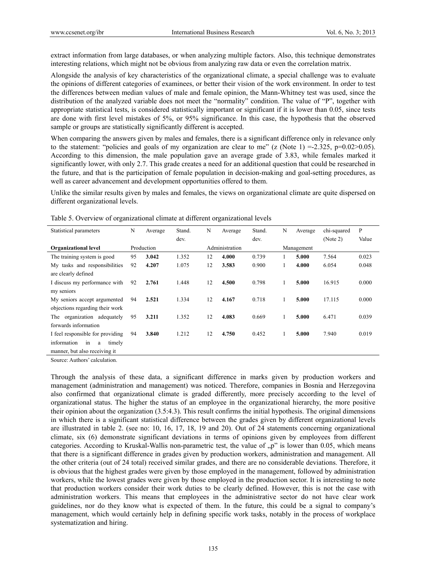extract information from large databases, or when analyzing multiple factors. Also, this technique demonstrates interesting relations, which might not be obvious from analyzing raw data or even the correlation matrix.

Alongside the analysis of key characteristics of the organizational climate, a special challenge was to evaluate the opinions of different categories of examinees, or better their vision of the work environment. In order to test the differences between median values of male and female opinion, the Mann-Whitney test was used, since the distribution of the analyzed variable does not meet the "normality" condition. The value of "P", together with appropriate statistical tests, is considered statistically important or significant if it is lower than 0.05, since tests are done with first level mistakes of 5%, or 95% significance. In this case, the hypothesis that the observed sample or groups are statistically significantly different is accepted.

When comparing the answers given by males and females, there is a significant difference only in relevance only to the statement: "policies and goals of my organization are clear to me" (z (Note 1) = -2.325, p=0.02>0.05). According to this dimension, the male population gave an average grade of 3.83, while females marked it significantly lower, with only 2.7. This grade creates a need for an additional question that could be researched in the future, and that is the participation of female population in decision-making and goal-setting procedures, as well as career advancement and development opportunities offered to them.

Unlike the similar results given by males and females, the views on organizational climate are quite dispersed on different organizational levels.

| Statistical parameters           | N  | Average    | Stand. | N  | Average        | Stand. | N | Average    | chi-squared | P     |
|----------------------------------|----|------------|--------|----|----------------|--------|---|------------|-------------|-------|
|                                  |    |            | dev.   |    |                | dev.   |   |            | (Note 2)    | Value |
| <b>Organizational level</b>      |    | Production |        |    | Administration |        |   | Management |             |       |
| The training system is good      | 95 | 3.042      | 1.352  | 12 | 4.000          | 0.739  |   | 5.000      | 7.564       | 0.023 |
| My tasks and responsibilities    | 92 | 4.207      | 1.075  | 12 | 3.583          | 0.900  |   | 4.000      | 6.054       | 0.048 |
| are clearly defined              |    |            |        |    |                |        |   |            |             |       |
| I discuss my performance with    | 92 | 2.761      | 1.448  | 12 | 4.500          | 0.798  |   | 5.000      | 16.915      | 0.000 |
| my seniors                       |    |            |        |    |                |        |   |            |             |       |
| My seniors accept argumented     | 94 | 2.521      | 1.334  | 12 | 4.167          | 0.718  | 1 | 5.000      | 17.115      | 0.000 |
| objections regarding their work  |    |            |        |    |                |        |   |            |             |       |
| The organization adequately      | 95 | 3.211      | 1.352  | 12 | 4.083          | 0.669  | 1 | 5.000      | 6.471       | 0.039 |
| forwards information             |    |            |        |    |                |        |   |            |             |       |
| I feel responsible for providing | 94 | 3.840      | 1.212  | 12 | 4.750          | 0.452  |   | 5.000      | 7.940       | 0.019 |
| information<br>in<br>timely<br>a |    |            |        |    |                |        |   |            |             |       |
| manner, but also receiving it    |    |            |        |    |                |        |   |            |             |       |

Table 5. Overview of organizational climate at different organizational levels

Source: Authors' calculation.

Through the analysis of these data, a significant difference in marks given by production workers and management (administration and management) was noticed. Therefore, companies in Bosnia and Herzegovina also confirmed that organizational climate is graded differently, more precisely according to the level of organizational status. The higher the status of an employee in the organizational hierarchy, the more positive their opinion about the organization (3.5:4.3). This result confirms the initial hypothesis. The original dimensions in which there is a significant statistical difference between the grades given by different organizational levels are illustrated in table 2. (see no: 10, 16, 17, 18, 19 and 20). Out of 24 statements concerning organizational climate, six (6) demonstrate significant deviations in terms of opinions given by employees from different categories. According to Kruskal-Wallis non-parametric test, the value of  $n$ " is lower than 0.05, which means that there is a significant difference in grades given by production workers, administration and management. All the other criteria (out of 24 total) received similar grades, and there are no considerable deviations. Therefore, it is obvious that the highest grades were given by those employed in the management, followed by administration workers, while the lowest grades were given by those employed in the production sector. It is interesting to note that production workers consider their work duties to be clearly defined. However, this is not the case with administration workers. This means that employees in the administrative sector do not have clear work guidelines, nor do they know what is expected of them. In the future, this could be a signal to company's management, which would certainly help in defining specific work tasks, notably in the process of workplace systematization and hiring.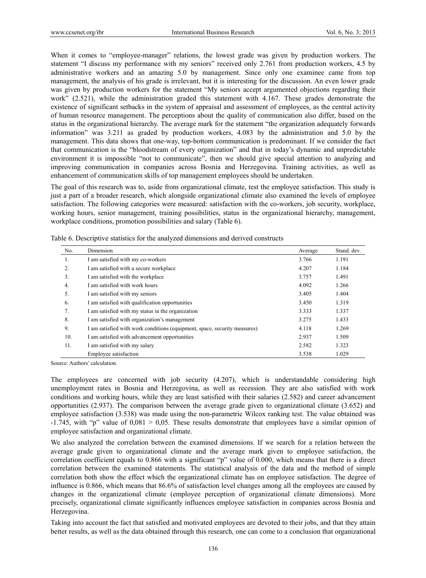When it comes to "employee-manager" relations, the lowest grade was given by production workers. The statement "I discuss my performance with my seniors" received only 2.761 from production workers, 4.5 by administrative workers and an amazing 5.0 by management. Since only one examinee came from top management, the analysis of his grade is irrelevant, but it is interesting for the discussion. An even lower grade was given by production workers for the statement "My seniors accept argumented objections regarding their work" (2.521), while the administration graded this statement with 4.167. These grades demonstrate the existence of significant setbacks in the system of appraisal and assessment of employees, as the central activity of human resource management. The perceptions about the quality of communication also differ, based on the status in the organizational hierarchy. The average mark for the statement "the organization adequately forwards information" was 3.211 as graded by production workers, 4.083 by the administration and 5.0 by the management. This data shows that one-way, top-bottom communication is predominant. If we consider the fact that communication is the "bloodstream of every organization" and that in today's dynamic and unpredictable environment it is impossible "not to communicate", then we should give special attention to analyzing and improving communication in companies across Bosnia and Herzegovina. Training activities, as well as enhancement of communication skills of top management employees should be undertaken.

The goal of this research was to, aside from organizational climate, test the employee satisfaction. This study is just a part of a broader research, which alongside organizational climate also examined the levels of employee satisfaction. The following categories were measured: satisfaction with the co-workers, job security, workplace, working hours, senior management, training possibilities, status in the organizational hierarchy, management, workplace conditions, promotion possibilities and salary (Table 6).

| No.              | Dimension                                                                 | Average | Stand, dev. |
|------------------|---------------------------------------------------------------------------|---------|-------------|
| 1.               | I am satisfied with my co-workers                                         | 3.766   | 1.191       |
| 2.               | I am satisfied with a secure workplace                                    | 4.207   | 1.184       |
| 3.               | I am satisfied with the workplace                                         | 3.757   | 1.491       |
| $\overline{4}$ . | I am satisfied with work hours                                            | 4.092   | 1.266       |
| 5.               | I am satisfied with my seniors                                            | 3.405   | 1.404       |
| 6.               | I am satisfied with qualification opportunities                           | 3.450   | 1.319       |
| 7.               | I am satisfied with my status in the organization                         | 3.333   | 1.337       |
| 8.               | I am satisfied with organization's management                             | 3.275   | 1.433       |
| 9.               | I am satisfied with work conditions (equipment, space, security measures) | 4.118   | 1.269       |
| 10.              | I am satisfied with advancement opportunities                             | 2.937   | 1.509       |
| 11.              | I am satisfied with my salary                                             | 2.582   | 1.323       |
|                  | Employee satisfaction                                                     | 3.538   | 1.029       |

Table 6. Descriptive statistics for the analyzed dimensions and derived constructs

Source: Authors' calculation.

The employees are concerned with job security (4.207), which is understandable considering high unemployment rates in Bosnia and Herzegovina, as well as recession. They are also satisfied with work conditions and working hours, while they are least satisfied with their salaries (2.582) and career advancement opportunities (2.937). The comparison between the average grade given to organizational climate (3.652) and employee satisfaction (3.538) was made using the non-parametric Wilcox ranking test. The value obtained was -1.745, with "p" value of 0,081 > 0,05. These results demonstrate that employees have a similar opinion of employee satisfaction and organizational climate.

We also analyzed the correlation between the examined dimensions. If we search for a relation between the average grade given to organizational climate and the average mark given to employee satisfaction, the correlation coefficient equals to 0.866 with a significant "p" value of 0.000, which means that there is a direct correlation between the examined statements. The statistical analysis of the data and the method of simple correlation both show the effect which the organizational climate has on employee satisfaction. The degree of influence is 0.866, which means that 86.6% of satisfaction level changes among all the employees are caused by changes in the organizational climate (employee perception of organizational climate dimensions). More precisely, organizational climate significantly influences employee satisfaction in companies across Bosnia and Herzegovina.

Taking into account the fact that satisfied and motivated employees are devoted to their jobs, and that they attain better results, as well as the data obtained through this research, one can come to a conclusion that organizational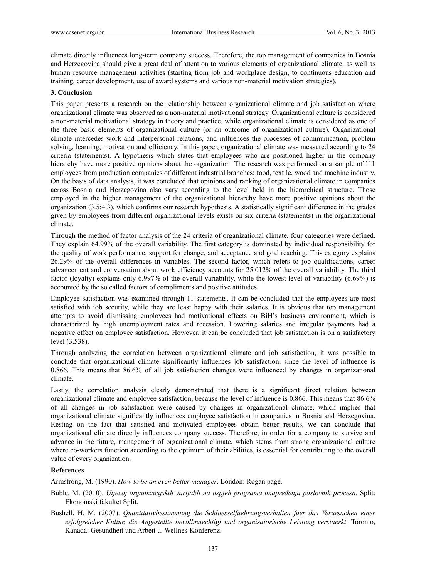climate directly influences long-term company success. Therefore, the top management of companies in Bosnia and Herzegovina should give a great deal of attention to various elements of organizational climate, as well as human resource management activities (starting from job and workplace design, to continuous education and training, career development, use of award systems and various non-material motivation strategies).

#### **3. Conclusion**

This paper presents a research on the relationship between organizational climate and job satisfaction where organizational climate was observed as a non-material motivational strategy. Organizational culture is considered a non-material motivational strategy in theory and practice, while organizational climate is considered as one of the three basic elements of organizational culture (or an outcome of organizational culture). Organizational climate intercedes work and interpersonal relations, and influences the processes of communication, problem solving, learning, motivation and efficiency. In this paper, organizational climate was measured according to 24 criteria (statements). A hypothesis which states that employees who are positioned higher in the company hierarchy have more positive opinions about the organization. The research was performed on a sample of 111 employees from production companies of different industrial branches: food, textile, wood and machine industry. On the basis of data analysis, it was concluded that opinions and ranking of organizational climate in companies across Bosnia and Herzegovina also vary according to the level held in the hierarchical structure. Those employed in the higher management of the organizational hierarchy have more positive opinions about the organization (3.5:4.3), which confirms our research hypothesis. A statistically significant difference in the grades given by employees from different organizational levels exists on six criteria (statements) in the organizational climate.

Through the method of factor analysis of the 24 criteria of organizational climate, four categories were defined. They explain 64.99% of the overall variability. The first category is dominated by individual responsibility for the quality of work performance, support for change, and acceptance and goal reaching. This category explains 26.29% of the overall differences in variables. The second factor, which refers to job qualifications, career advancement and conversation about work efficiency accounts for 25.012% of the overall variability. The third factor (loyalty) explains only 6.997% of the overall variability, while the lowest level of variability (6.69%) is accounted by the so called factors of compliments and positive attitudes.

Employee satisfaction was examined through 11 statements. It can be concluded that the employees are most satisfied with job security, while they are least happy with their salaries. It is obvious that top management attempts to avoid dismissing employees had motivational effects on BiH's business environment, which is characterized by high unemployment rates and recession. Lowering salaries and irregular payments had a negative effect on employee satisfaction. However, it can be concluded that job satisfaction is on a satisfactory level (3.538).

Through analyzing the correlation between organizational climate and job satisfaction, it was possible to conclude that organizational climate significantly influences job satisfaction, since the level of influence is 0.866. This means that 86.6% of all job satisfaction changes were influenced by changes in organizational climate.

Lastly, the correlation analysis clearly demonstrated that there is a significant direct relation between organizational climate and employee satisfaction, because the level of influence is 0.866. This means that 86.6% of all changes in job satisfaction were caused by changes in organizational climate, which implies that organizational climate significantly influences employee satisfaction in companies in Bosnia and Herzegovina. Resting on the fact that satisfied and motivated employees obtain better results, we can conclude that organizational climate directly influences company success. Therefore, in order for a company to survive and advance in the future, management of organizational climate, which stems from strong organizational culture where co-workers function according to the optimum of their abilities, is essential for contributing to the overall value of every organization.

#### **References**

Armstrong, M. (1990). *How to be an even better manager*. London: Rogan page.

- Buble, M. (2010). *Utjecaj organizacijskih varijabli na uspjeh programa unapređenja poslovnih procesa*. Split: Ekonomski fakultet Split.
- Bushell, H. M. (2007). *Quantitativbestimmung die Schluesselfuehrungsverhalten fuer das Verursachen einer erfolgreicher Kultur, die Angestellte bevollmaechtigt und organisatorische Leistung verstaerkt*. Toronto, Kanada: Gesundheit und Arbeit u. Wellnes-Konferenz.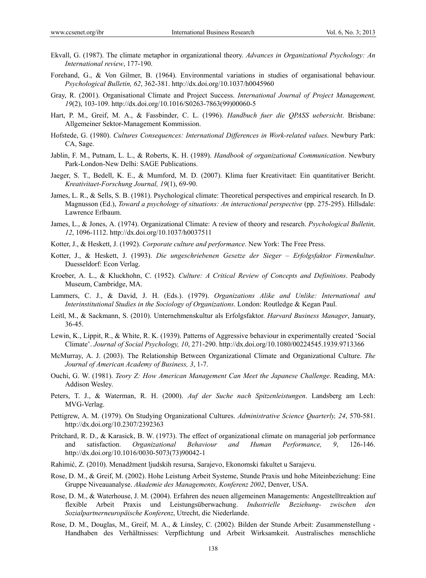- Ekvall, G. (1987). The climate metaphor in organizational theory. *Advances in Organizational Psychology: An International review*, 177-190.
- Forehand, G., & Von Gilmer, B. (1964). Environmental variations in studies of organisational behaviour. *Psychological Bulletin, 62*, 362-381. http://dx.doi.org/10.1037/h0045960
- Gray, R. (2001). Organisational Climate and Project Success. *International Journal of Project Management, 19*(2), 103-109. http://dx.doi.org/10.1016/S0263-7863(99)00060-5
- Hart, P. M., Greif, M. A., & Fassbinder, C. L. (1996). *Handbuch fuer die QPASS uebersicht*. Brisbane: Allgemeiner Sektor-Management Kommission.
- Hofstede, G. (1980). *Cultures Consequences: International Differences in Work-related values*. Newbury Park: CA, Sage.
- Jablin, F. M., Putnam, L. L., & Roberts, K. H. (1989). *Handbook of organizational Communication*. Newbury Park-London-New Delhi: SAGE Publications.
- Jaeger, S. T., Bedell, K. E., & Mumford, M. D. (2007). Klima fuer Kreativitaet: Ein quantitativer Bericht. *Kreativitaet-Forschung Journal, 19*(1), 69-90.
- James, L. R., & Sells, S. B. (1981). Psychological climate: Theoretical perspectives and empirical research. In D. Magnusson (Ed.), *Toward a psychology of situations: An interactional perspective* (pp. 275-295). Hillsdale: Lawrence Erlbaum.
- James, L., & Jones, A. (1974). Organizational Climate: A review of theory and research. *Psychological Bulletin, 12*, 1096-1112. http://dx.doi.org/10.1037/h0037511
- Kotter, J., & Heskett, J. (1992). *Corporate culture and performance*. New York: The Free Press.
- Kotter, J., & Heskett, J. (1993). *Die ungeschriebenen Gesetze der Sieger Erfolgsfaktor Firmenkultur*. Duesseldorf: Econ Verlag.
- Kroeber, A. L., & Kluckhohn, C. (1952). *Culture: A Critical Review of Concepts and Definitions*. Peabody Museum, Cambridge, MA.
- Lammers, C. J., & David, J. H. (Eds.). (1979). *Organizations Alike and Unlike: International and Interinstitutional Studies in the Sociology of Organizations*. London: Routledge & Kegan Paul.
- Leitl, M., & Sackmann, S. (2010). Unternehmenskultur als Erfolgsfaktor. *Harvard Business Manager*, January, 36-45.
- Lewin, K., Lippit, R., & White, R. K. (1939). Patterns of Aggressive behaviour in experimentally created 'Social Climate'. *Journal of Social Psychology, 10*, 271-290. http://dx.doi.org/10.1080/00224545.1939.9713366
- McMurray, A. J. (2003). The Relationship Between Organizational Climate and Organizational Culture. *The Journal of American Academy of Business, 3*, 1-7.
- Ouchi, G. W. (1981). *Teory Z: How American Management Can Meet the Japanese Challenge*. Reading, MA: Addison Wesley.
- Peters, T. J., & Waterman, R. H. (2000). *Auf der Suche nach Spitzenleistungen*. Landsberg am Lech: MVG-Verlag.
- Pettigrew, A. M. (1979). On Studying Organizational Cultures. *Administrative Science Quarterly, 24*, 570-581. http://dx.doi.org/10.2307/2392363
- Pritchard, R. D., & Karasick, B. W. (1973). The effect of organizational climate on managerial job performance and satisfaction. *Organizational Behaviour and Human Performance, 9*, 126-146. http://dx.doi.org/10.1016/0030-5073(73)90042-1
- Rahimić, Z. (2010). Menadžment ljudskih resursa, Sarajevo, Ekonomski fakultet u Sarajevu.
- Rose, D. M., & Greif, M. (2002). Hohe Leistung Arbeit Systeme, Stunde Praxis und hohe Miteinbeziehung: Eine Gruppe Niveauanalyse. *Akademie des Managements, Konferenz 2002*, Denver, USA.
- Rose, D. M., & Waterhouse, J. M. (2004). Erfahren des neuen allgemeinen Managements: Angestelltreaktion auf flexible Arbeit Praxis und Leistungsüberwachung. *Industrielle Beziehung- zwischen den Sozialpartnerneuropäische Konferenz*, Utrecht, die Niederlande.
- Rose, D. M., Douglas, M., Greif, M. A., & Linsley, C. (2002). Bilden der Stunde Arbeit: Zusammenstellung Handhaben des Verhältnisses: Verpflichtung und Arbeit Wirksamkeit. Australisches menschliche